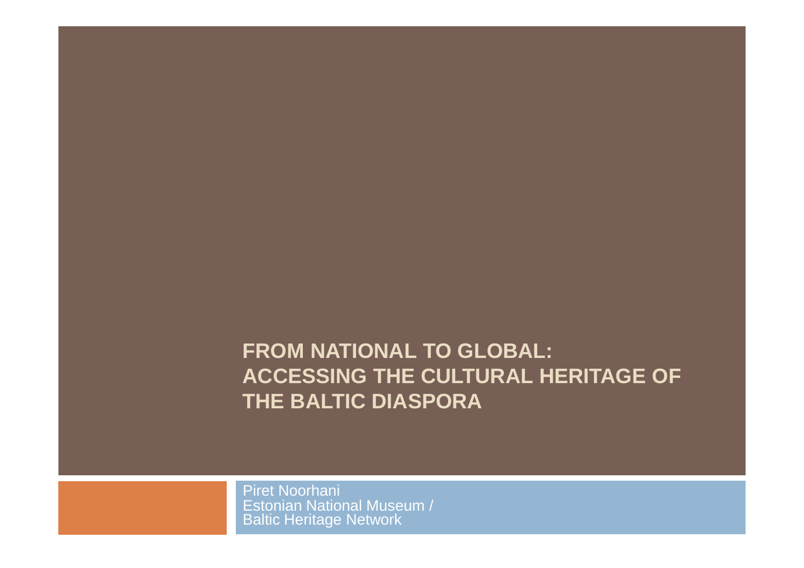# **FROM NATIONAL TO GLOBAL: ACCESSING THE CULTURAL HERITAGE OFTHE BALTIC DIASPORA**

Piret Noorhani Estonian National Museum / Baltic Heritage Network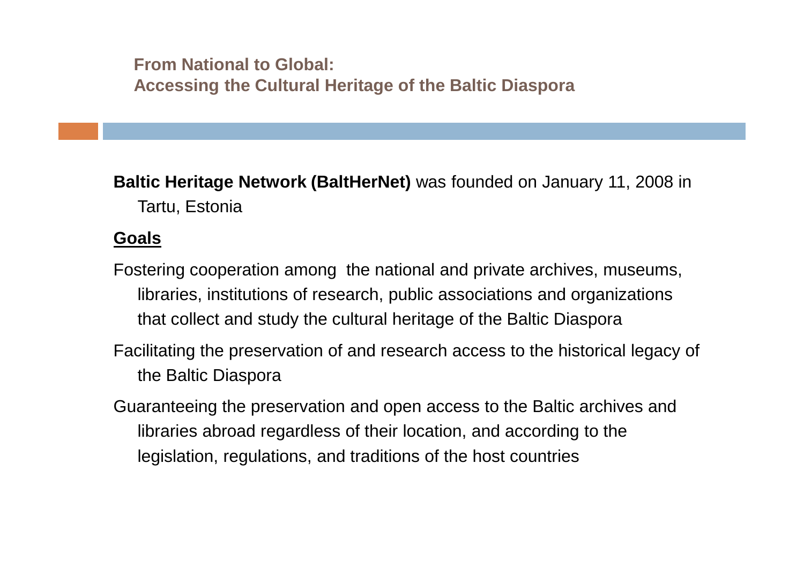**Baltic Heritage Network (BaltHerNet)** was founded on January 11, 2008 in Tartu, Estonia

#### **Goals**

- Fostering cooperation among the national and private archives, museums, libraries, institutions of research, public associations and organizations that collect and study the cultural heritage of the Baltic Diaspora
- Facilitating the preservation of and research access to the historical legacy of the Baltic Diaspora
- Guaranteeing the preservation and open access to the Baltic archives and libraries abroad regardless of their location, and according to the legislation, regulations, and traditions of the host countries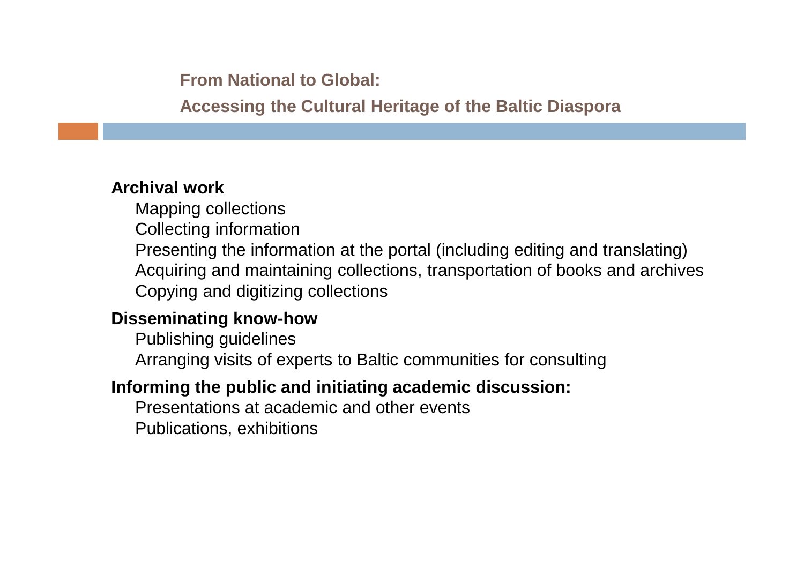**From National to Global:**

**Accessing the Cultural Heritage of the Baltic Diaspora**

### **Archival work**

Mapping collections

Collecting information

Presenting the information at the portal (including editing and translating) Acquiring and maintaining collections, transportation of books and archives Copying and digitizing collections

### **Disseminating know-how**

Publishing guidelines Arranging visits of experts to Baltic communities for consulting

## **Informing the public and initiating academic discussion:**

Presentations at academic and other eventsPublications, exhibitions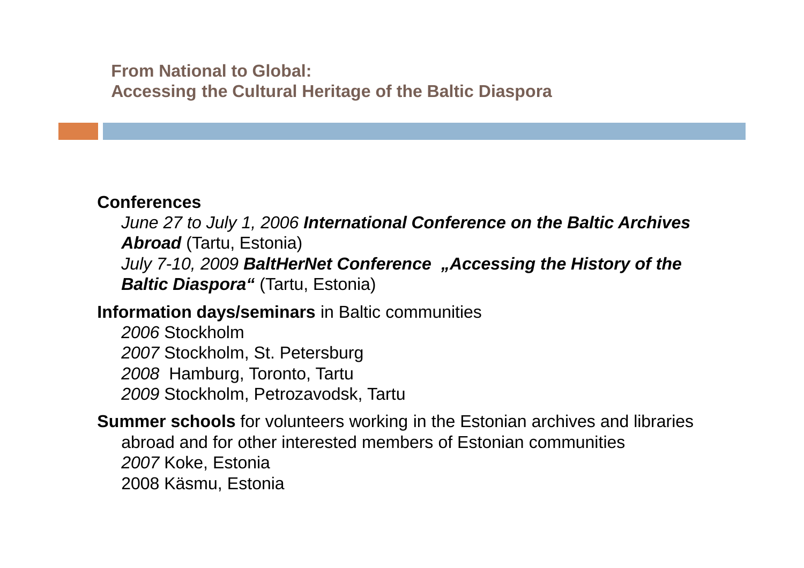#### **Conferences**

 June 27 to July 1, 2006 **International Conference on the Baltic Archives Abroad** (Tartu, Estonia) July 7-10, 2009 BaltHerNet Conference "Accessing the History of the **Baltic Diaspora"** (Tartu, Estonia)

# **Information days/seminars** in Baltic communities

2006 Stockholm 2007 Stockholm, St. Petersburg 2008 Hamburg, Toronto, Tartu 2009 Stockholm, Petrozavodsk, Tartu

**Summer schools** for volunteers working in the Estonian archives and libraries abroad and for other interested members of Estonian communities 2007 Koke, Estonia2008 Käsmu, Estonia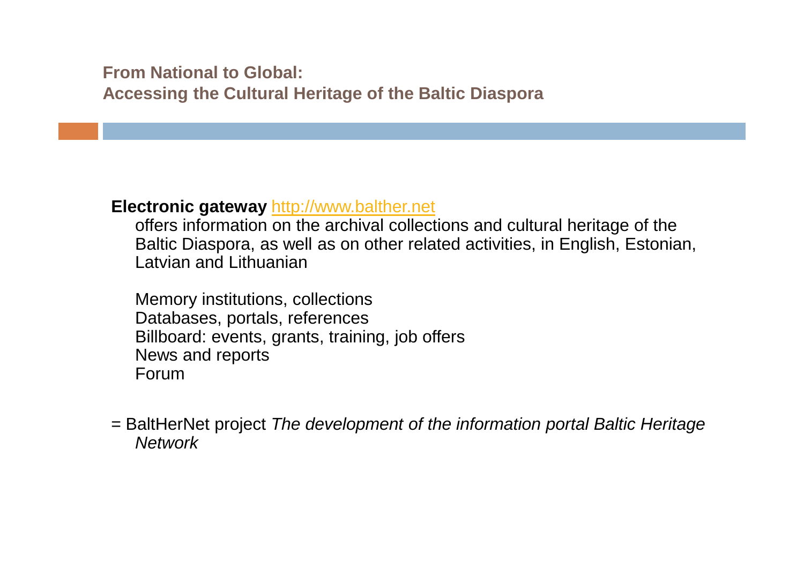#### **Electronic gateway** http://www.balther.net

 offers information on the archival collections and cultural heritage of the Baltic Diaspora, as well as on other related activities, in English, Estonian, Latvian and Lithuanian

Memory institutions, collections Databases, portals, references Billboard: events, grants, training, job offers News and reportsForum

= BaltHerNet project The development of the information portal Baltic Heritage**Network**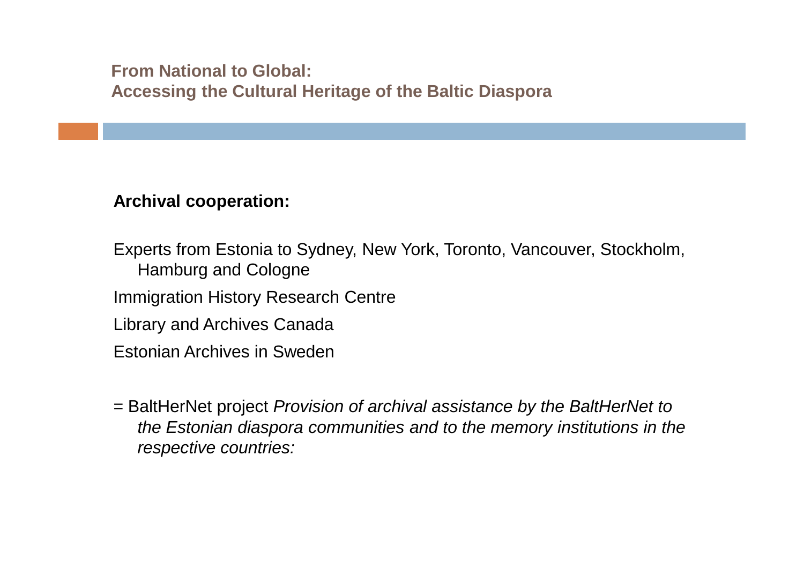#### **Archival cooperation:**

Experts from Estonia to Sydney, New York, Toronto, Vancouver, Stockholm, Hamburg and CologneImmigration History Research CentreLibrary and Archives CanadaEstonian Archives in Sweden

= BaltHerNet project Provision of archival assistance by the BaltHerNet to the Estonian diaspora communities and to the memory institutions in the respective countries: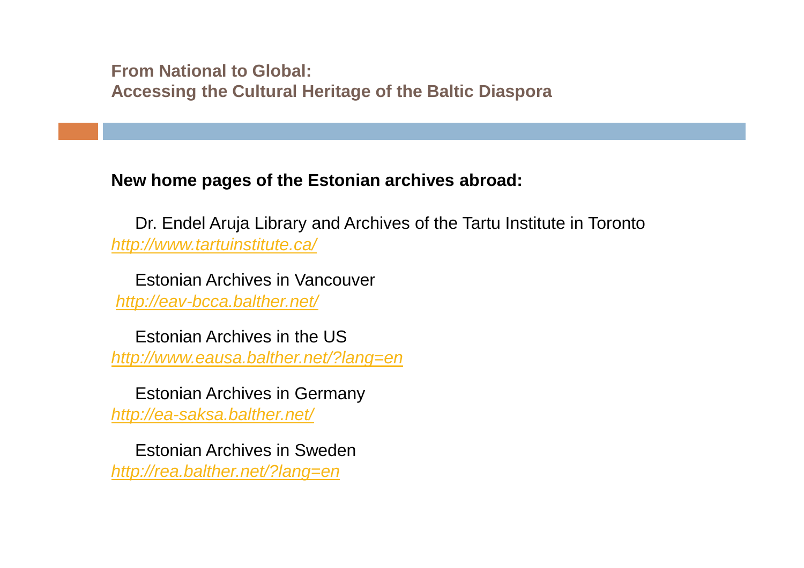#### **New home pages of the Estonian archives abroad:**

Dr. Endel Aruja Library and Archives of the Tartu Institute in Torontohttp://www.tartuinstitute.ca/

Estonian Archives in Vancouver http://eav-bcca.balther.net/

Estonian Archives in the UShttp://www.eausa.balther.net/?lang=en

Estonian Archives in Germanyhttp://ea-saksa.balther.net/

Estonian Archives in Swedenhttp://rea.balther.net/?lang=en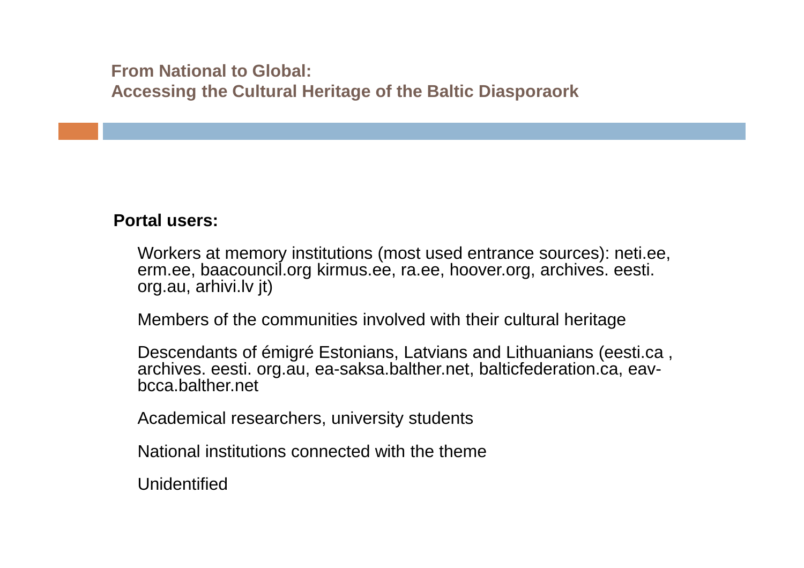#### **Portal users:**

Workers at memory institutions (most used entrance sources): neti.ee, erm.ee, baacouncil.org kirmus.ee, ra.ee, hoover.org, archives. eesti. org.au, arhivi.lv jt)

Members of the communities involved with their cultural heritage

Descendants of émigré Estonians, Latvians and Lithuanians (eesti.ca , archives. eesti. org.au, ea-saksa.balther.net, balticfederation.ca, eavbcca.balther.net

Academical researchers, university students

National institutions connected with the theme

Unidentified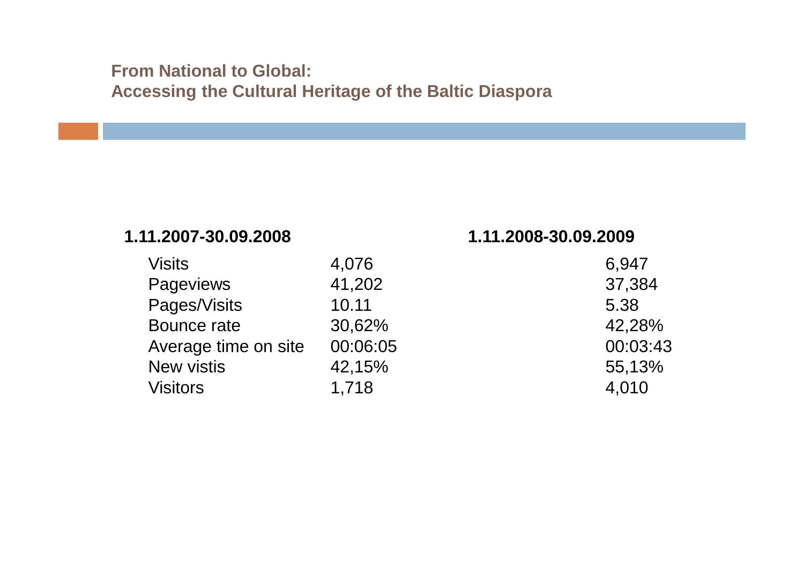#### **1.11.2007-30.09.2008 1.11.2008-30.09.2009**

| <b>Visits</b>        | 4,076    | 6,947    |
|----------------------|----------|----------|
| <b>Pageviews</b>     | 41,202   | 37,384   |
| Pages/Visits         | 10.11    | 5.38     |
| Bounce rate          | 30,62%   | 42,28%   |
| Average time on site | 00:06:05 | 00:03:43 |
| <b>New vistis</b>    | 42,15%   | 55,13%   |
| <b>Visitors</b>      | 1,718    | 4,010    |

|                | 6,947    |
|----------------|----------|
| $\overline{2}$ | 37,384   |
|                | 5.38     |
| $\frac{0}{0}$  | 42,28%   |
| :05            | 00:03:43 |
| ℅              | 55,13%   |
|                | 4,010    |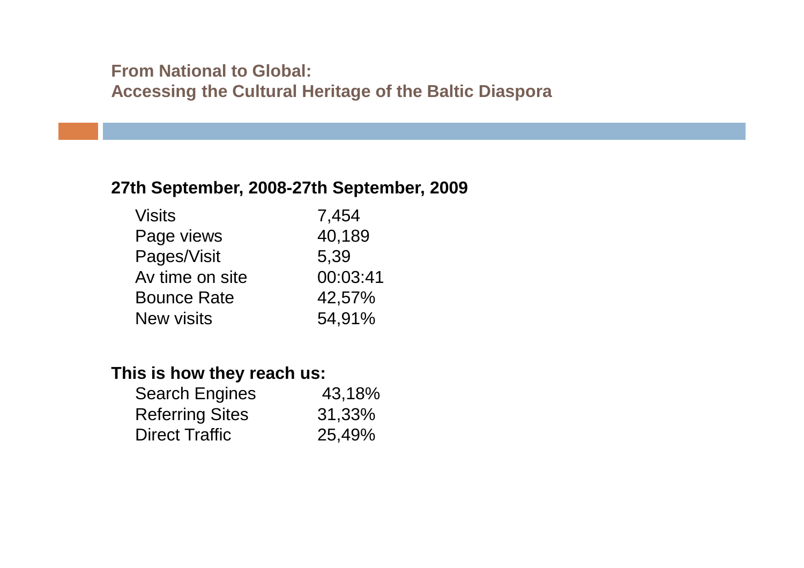#### **27th September, 2008-27th September, 2009**

| <b>Visits</b>      | 7,454    |
|--------------------|----------|
| Page views         | 40,189   |
| Pages/Visit        | 5,39     |
| Av time on site    | 00:03:41 |
| <b>Bounce Rate</b> | 42,57%   |
| <b>New visits</b>  | 54,91%   |

#### **This is how they reach us:**

| <b>Search Engines</b>  | 43,18% |
|------------------------|--------|
| <b>Referring Sites</b> | 31,33% |
| <b>Direct Traffic</b>  | 25,49% |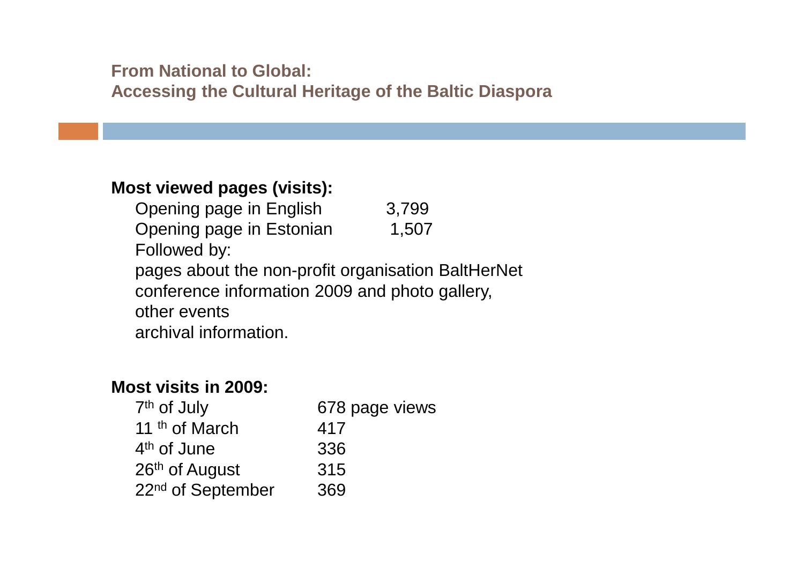#### **Most viewed pages (visits):**

Opening page in English 3,799 Opening page in Estonian 1,507 Followed by: pages about the non-profit organisation BaltHerNetconference information 2009 and photo gallery,other eventsarchival information.

#### **Most visits in 2009:**

| 7 <sup>th</sup> of July       | 678 page views |
|-------------------------------|----------------|
| 11 <sup>th</sup> of March     | 417            |
| 4 <sup>th</sup> of June       | 336            |
| 26th of August                | 315            |
| 22 <sup>nd</sup> of September | 369            |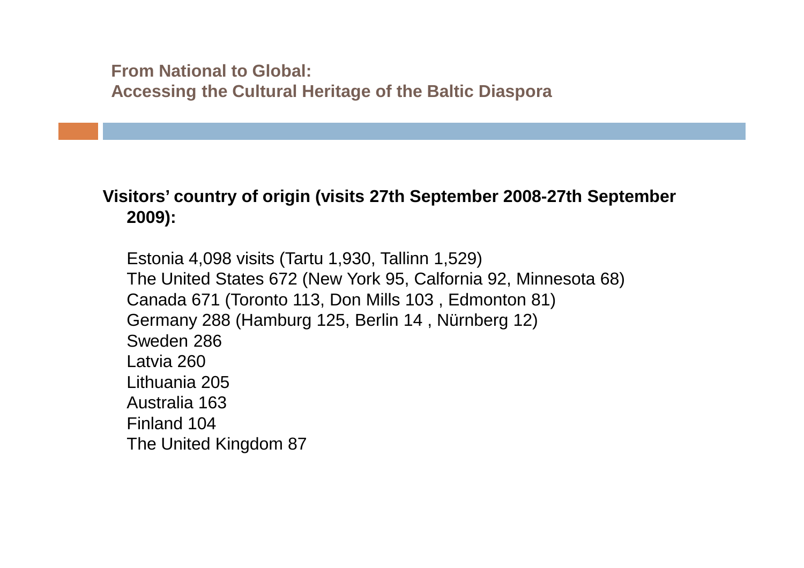#### **Visitors' country of origin (visits 27th September 2008-27th September 2009):**

Estonia 4,098 visits (Tartu 1,930, Tallinn 1,529)The United States 672 (New York 95, Calfornia 92, Minnesota 68)Canada 671 (Toronto 113, Don Mills 103 , Edmonton 81)Germany 288 (Hamburg 125, Berlin 14 , Nürnberg 12)Sweden 286Latvia 260 Lithuania 205 Australia 163 Finland 104The United Kingdom 87